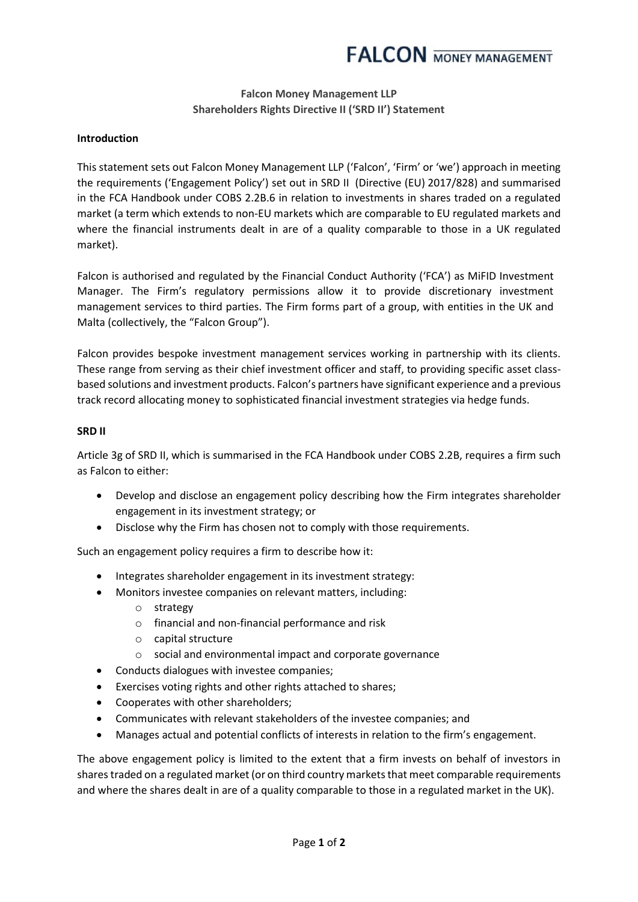## **Falcon Money Management LLP Shareholders Rights Directive II ('SRD II') Statement**

## **Introduction**

This statement sets out Falcon Money Management LLP ('Falcon', 'Firm' or 'we') approach in meeting the requirements ('Engagement Policy') set out in SRD II (Directive (EU) 2017/828) and summarised in the FCA Handbook under COBS 2.2B.6 in relation to investments in shares traded on a regulated market (a term which extends to non-EU markets which are comparable to EU regulated markets and where the financial instruments dealt in are of a quality comparable to those in a UK regulated market).

Falcon is authorised and regulated by the Financial Conduct Authority ('FCA') as MiFID Investment Manager. The Firm's regulatory permissions allow it to provide discretionary investment management services to third parties. The Firm forms part of a group, with entities in the UK and Malta (collectively, the "Falcon Group").

Falcon provides bespoke investment management services working in partnership with its clients. These range from serving as their chief investment officer and staff, to providing specific asset classbased solutions and investment products. Falcon's partners have significant experience and a previous track record allocating money to sophisticated financial investment strategies via hedge funds.

## **SRD II**

Article 3g of SRD II, which is summarised in the FCA Handbook under COBS 2.2B, requires a firm such as Falcon to either:

- Develop and disclose an engagement policy describing how the Firm integrates shareholder engagement in its investment strategy; or
- Disclose why the Firm has chosen not to comply with those requirements.

Such an engagement policy requires a firm to describe how it:

- Integrates shareholder engagement in its investment strategy:
- Monitors investee companies on relevant matters, including:
	- o strategy
	- o financial and non-financial performance and risk
	- o capital structure
	- o social and environmental impact and corporate governance
- Conducts dialogues with investee companies;
- Exercises voting rights and other rights attached to shares;
- Cooperates with other shareholders;
- Communicates with relevant stakeholders of the investee companies; and
- Manages actual and potential conflicts of interests in relation to the firm's engagement.

The above engagement policy is limited to the extent that a firm invests on behalf of investors in shares traded on a regulated market (or on third country markets that meet comparable requirements and where the shares dealt in are of a quality comparable to those in a regulated market in the UK).